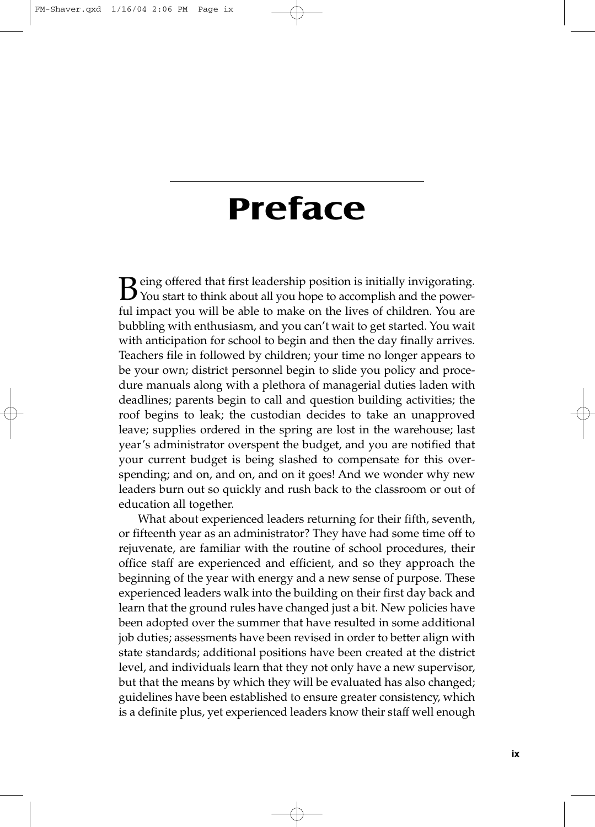## **Preface**

**B** eing offered that first leadership position is initially invigorating.<br>You start to think about all you hope to accomplish and the powerful impact you will be able to make on the lives of children. You are bubbling with enthusiasm, and you can't wait to get started. You wait with anticipation for school to begin and then the day finally arrives. Teachers file in followed by children; your time no longer appears to be your own; district personnel begin to slide you policy and procedure manuals along with a plethora of managerial duties laden with deadlines; parents begin to call and question building activities; the roof begins to leak; the custodian decides to take an unapproved leave; supplies ordered in the spring are lost in the warehouse; last year's administrator overspent the budget, and you are notified that your current budget is being slashed to compensate for this overspending; and on, and on, and on it goes! And we wonder why new leaders burn out so quickly and rush back to the classroom or out of education all together.

What about experienced leaders returning for their fifth, seventh, or fifteenth year as an administrator? They have had some time off to rejuvenate, are familiar with the routine of school procedures, their office staff are experienced and efficient, and so they approach the beginning of the year with energy and a new sense of purpose. These experienced leaders walk into the building on their first day back and learn that the ground rules have changed just a bit. New policies have been adopted over the summer that have resulted in some additional job duties; assessments have been revised in order to better align with state standards; additional positions have been created at the district level, and individuals learn that they not only have a new supervisor, but that the means by which they will be evaluated has also changed; guidelines have been established to ensure greater consistency, which is a definite plus, yet experienced leaders know their staff well enough